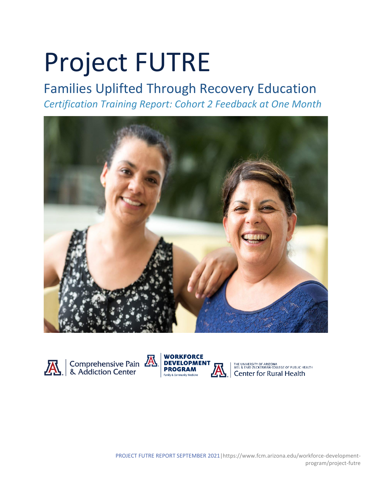# Project FUTRE

## Families Uplifted Through Recovery Education *Certification Training Report: Cohort 2 Feedback at One Month*







THE UNIVERSITY OF ARIZONA<br>MEL & ENID ZUCKERMAN COLLEGE OF PUBLIC HEALTH Center for Rural Health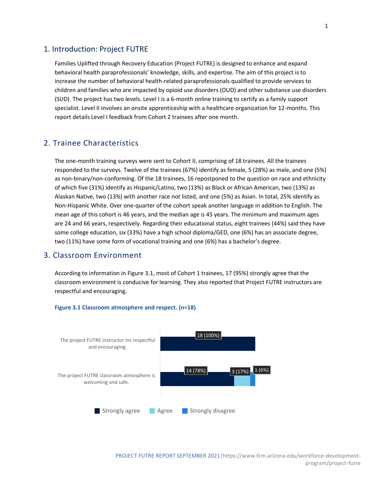#### 1. Introduction: Project FUTRE

Families Uplifted through Recovery Education (Project FUTRE) is designed to enhance and expand behavioral health paraprofessionals' knowledge, skills, and expertise. The aim of this project is to increase the number of behavioral health-related paraprofessionals qualified to provide services to children and families who are impacted by opioid use disorders (OUD) and other substance use disorders (SUD). The project has two levels. Level I is a 6-month online training to certify as a family support specialist. Level II involves an onsite apprenticeship with a healthcare organization for 12-months. This report details Level I feedback from Cohort 2 trainees after one month.

## 2. Trainee Characteristics

The one-month training surveys were sent to Cohort II, comprising of 18 trainees. All the trainees responded to the surveys. Twelve of the trainees (67%) identify as female, 5 (28%) as male, and one (5%) as non-binary/non-conforming. Of the 18 trainees, 16 repostponed to the question on race and ethnicity of which five (31%) identify as Hispanic/Latino, two (13%) as Black or African American, two (13%) as Alaskan Native, two (13%) with another race not listed, and one (5%) as Asian. In total, 25% identify as Non-Hispanic White. Over one-quarter of the cohort speak another language in addition to English. The mean age of this cohort is 46 years, and the median age is 45 years. The minimum and maximum ages are 24 and 66 years, respectively. Regarding their educational status, eight trainees (44%) said they have some college education, six (33%) have a high school diploma/GED, one (6%) has an associate degree, two (11%) have some form of vocational training and one (6%) has a bachelor's degree.

#### 3. Classroom Environment

According to information in Figure 3.1, most of Cohort 1 trainees, 17 (95%) strongly agree that the classroom environment is conducive for learning. They also reported that Project FUTRE instructors are respectful and encouraging.

#### **Figure 3.1 Classroom atmosphere and respect. (n=18)**

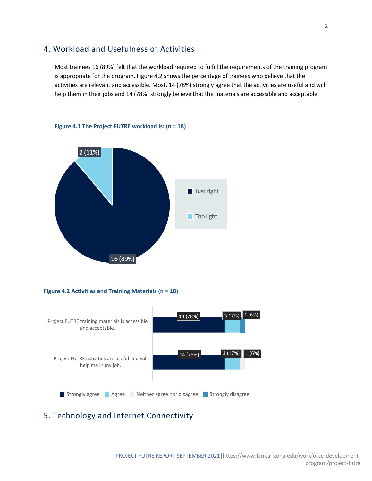## 4. Workload and Usefulness of Activities

Most trainees 16 (89%) felt that the workload required to fulfill the requirements of the training program is appropriate for the program. Figure 4.2 shows the percentage of trainees who believe that the activities are relevant and accessible. Most, 14 (78%) strongly agree that the activities are useful and will help them in their jobs and 14 (78%) strongly believe that the materials are accessible and acceptable.



#### **Figure 4.1 The Project FUTRE workload is: (n = 18)**





## 5. Technology and Internet Connectivity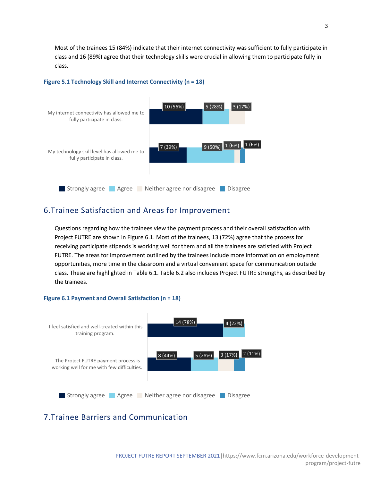Most of the trainees 15 (84%) indicate that their internet connectivity was sufficient to fully participate in class and 16 (89%) agree that their technology skills were crucial in allowing them to participate fully in class.



#### **Figure 5.1 Technology Skill and Internet Connectivity (n = 18)**

### 6.Trainee Satisfaction and Areas for Improvement

Questions regarding how the trainees view the payment process and their overall satisfaction with Project FUTRE are shown in Figure 6.1. Most of the trainees, 13 (72%) agree that the process for receiving participate stipends is working well for them and all the trainees are satisfied with Project FUTRE. The areas for improvement outlined by the trainees include more information on employment opportunities, more time in the classroom and a virtual convenient space for communication outside class. These are highlighted in Table 6.1. Table 6.2 also includes Project FUTRE strengths, as described by the trainees.

#### **Figure 6.1 Payment and Overall Satisfaction (n = 18)**



## 7.Trainee Barriers and Communication